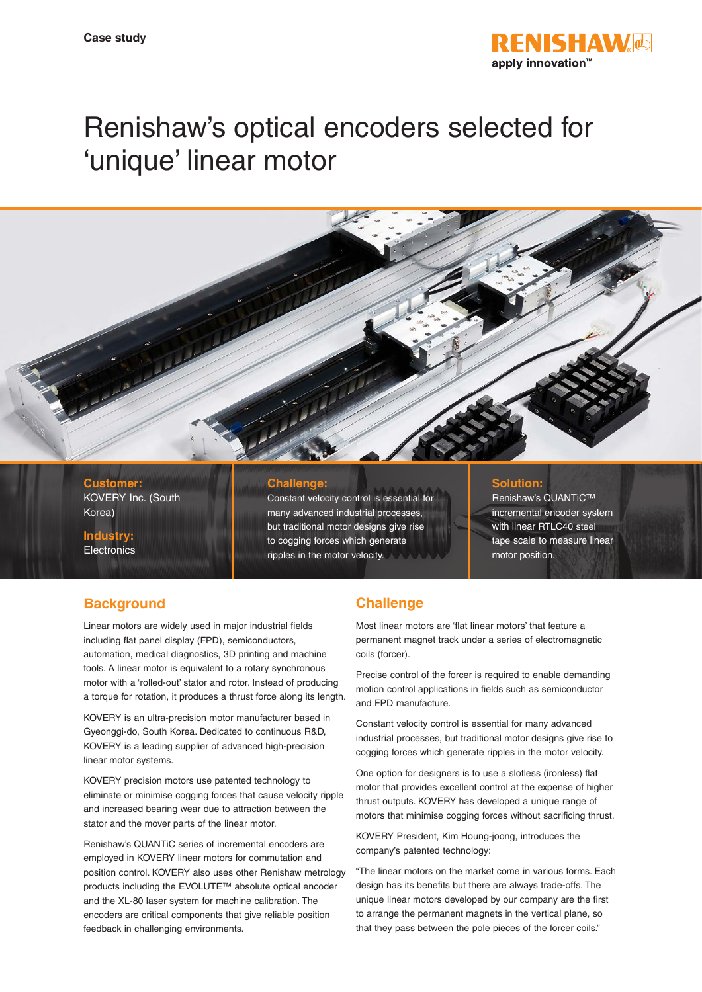

# Renishaw's optical encoders selected for 'unique' linear motor

### **Customer:** KOVERY Inc. (South Korea)

**Industry: Electronics** 

## **Challenge:**

Constant velocity control is essential for many advanced industrial processes, but traditional motor designs give rise to cogging forces which generate ripples in the motor velocity.

### **Solution:**

Renishaw's QUANTiC™ incremental encoder system with linear RTLC40 steel tape scale to measure linear motor position.

# **Background**

Linear motors are widely used in major industrial fields including flat panel display (FPD), semiconductors, automation, medical diagnostics, 3D printing and machine tools. A linear motor is equivalent to a rotary synchronous motor with a 'rolled-out' stator and rotor. Instead of producing a torque for rotation, it produces a thrust force along its length.

KOVERY is an ultra-precision motor manufacturer based in Gyeonggi-do, South Korea. Dedicated to continuous R&D, KOVERY is a leading supplier of advanced high-precision linear motor systems.

KOVERY precision motors use patented technology to eliminate or minimise cogging forces that cause velocity ripple and increased bearing wear due to attraction between the stator and the mover parts of the linear motor.

Renishaw's QUANTiC series of incremental encoders are employed in KOVERY linear motors for commutation and position control. KOVERY also uses other Renishaw metrology products including the EVOLUTE™ absolute optical encoder and the XL-80 laser system for machine calibration. The encoders are critical components that give reliable position feedback in challenging environments.

# **Challenge**

Most linear motors are 'flat linear motors' that feature a permanent magnet track under a series of electromagnetic coils (forcer).

Precise control of the forcer is required to enable demanding motion control applications in fields such as semiconductor and FPD manufacture.

Constant velocity control is essential for many advanced industrial processes, but traditional motor designs give rise to cogging forces which generate ripples in the motor velocity.

One option for designers is to use a slotless (ironless) flat motor that provides excellent control at the expense of higher thrust outputs. KOVERY has developed a unique range of motors that minimise cogging forces without sacrificing thrust.

KOVERY President, Kim Houng-joong, introduces the company's patented technology:

"The linear motors on the market come in various forms. Each design has its benefits but there are always trade-offs. The unique linear motors developed by our company are the first to arrange the permanent magnets in the vertical plane, so that they pass between the pole pieces of the forcer coils."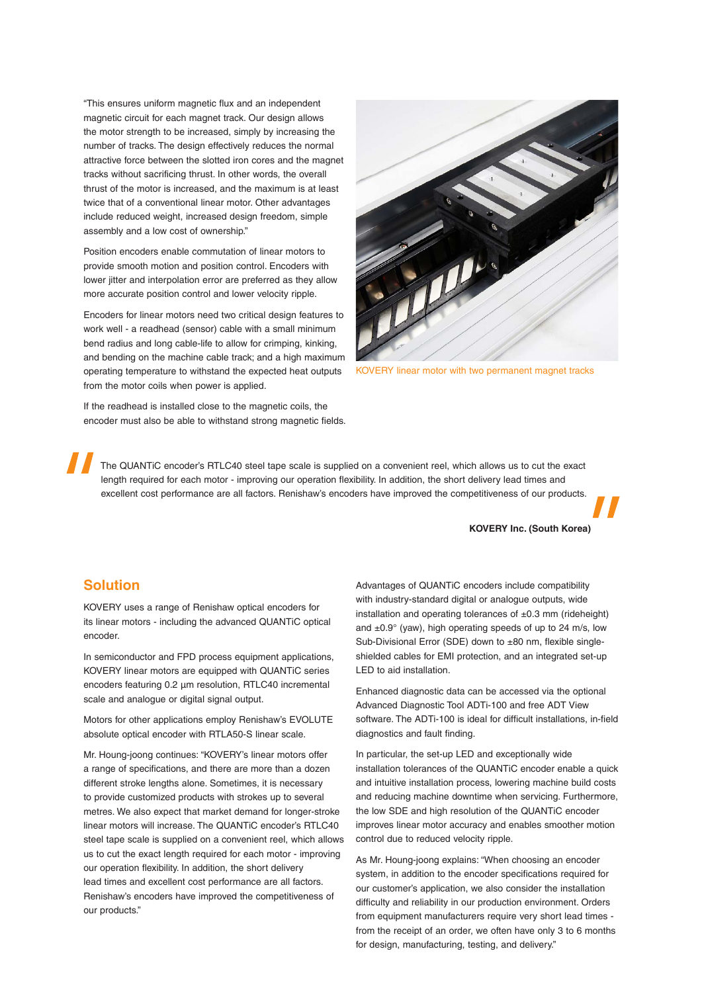"This ensures uniform magnetic flux and an independent magnetic circuit for each magnet track. Our design allows the motor strength to be increased, simply by increasing the number of tracks. The design effectively reduces the normal attractive force between the slotted iron cores and the magnet tracks without sacrificing thrust. In other words, the overall thrust of the motor is increased, and the maximum is at least twice that of a conventional linear motor. Other advantages include reduced weight, increased design freedom, simple assembly and a low cost of ownership."

Position encoders enable commutation of linear motors to provide smooth motion and position control. Encoders with lower jitter and interpolation error are preferred as they allow more accurate position control and lower velocity ripple.

Encoders for linear motors need two critical design features to work well - a readhead (sensor) cable with a small minimum bend radius and long cable-life to allow for crimping, kinking, and bending on the machine cable track; and a high maximum operating temperature to withstand the expected heat outputs from the motor coils when power is applied.

If the readhead is installed close to the magnetic coils, the encoder must also be able to withstand strong magnetic fields.



KOVERY linear motor with two permanent magnet tracks

The QUANTiC encoder's RTLC40 steel tape scale is supplied on a convenient reel, which allows us to cut the exact length required for each motor - improving our operation flexibility. In addition, the short delivery lead times and excellent cost performance are all factors. Renishaw's encoders have improved the competitiveness of our products.

**KOVERY Inc. (South Korea)**

## **Solution**

KOVERY uses a range of Renishaw optical encoders for its linear motors - including the advanced QUANTiC optical encoder.

In semiconductor and FPD process equipment applications, KOVERY linear motors are equipped with QUANTiC series encoders featuring 0.2 µm resolution, RTLC40 incremental scale and analogue or digital signal output.

Motors for other applications employ Renishaw's EVOLUTE absolute optical encoder with RTLA50-S linear scale.

Mr. Houng-joong continues: "KOVERY's linear motors offer a range of specifications, and there are more than a dozen different stroke lengths alone. Sometimes, it is necessary to provide customized products with strokes up to several metres. We also expect that market demand for longer-stroke linear motors will increase. The QUANTiC encoder's RTLC40 steel tape scale is supplied on a convenient reel, which allows us to cut the exact length required for each motor - improving our operation flexibility. In addition, the short delivery lead times and excellent cost performance are all factors. Renishaw's encoders have improved the competitiveness of our products."

Advantages of QUANTiC encoders include compatibility with industry-standard digital or analogue outputs, wide installation and operating tolerances of  $\pm 0.3$  mm (rideheight) and  $\pm 0.9^{\circ}$  (yaw), high operating speeds of up to 24 m/s, low Sub-Divisional Error (SDE) down to ±80 nm, flexible singleshielded cables for EMI protection, and an integrated set-up LED to aid installation.

Enhanced diagnostic data can be accessed via the optional Advanced Diagnostic Tool ADTi-100 and free ADT View software. The ADTi-100 is ideal for difficult installations, in-field diagnostics and fault finding.

In particular, the set-up LED and exceptionally wide installation tolerances of the QUANTiC encoder enable a quick and intuitive installation process, lowering machine build costs and reducing machine downtime when servicing. Furthermore, the low SDE and high resolution of the QUANTiC encoder improves linear motor accuracy and enables smoother motion control due to reduced velocity ripple.

As Mr. Houng-joong explains: "When choosing an encoder system, in addition to the encoder specifications required for our customer's application, we also consider the installation difficulty and reliability in our production environment. Orders from equipment manufacturers require very short lead times from the receipt of an order, we often have only 3 to 6 months for design, manufacturing, testing, and delivery."